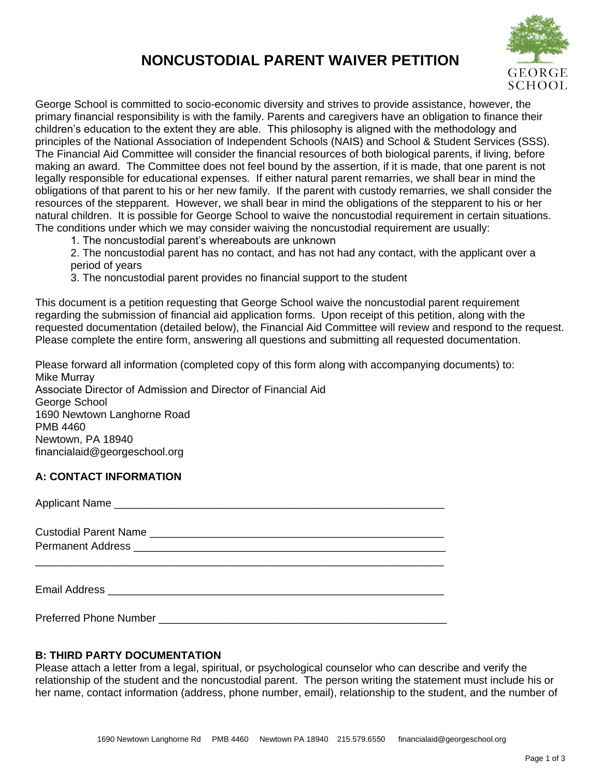# **NONCUSTODIAL PARENT WAIVER PETITION**



George School is committed to socio-economic diversity and strives to provide assistance, however, the primary financial responsibility is with the family. Parents and caregivers have an obligation to finance their children's education to the extent they are able. This philosophy is aligned with the methodology and principles of the National Association of Independent Schools (NAIS) and School & Student Services (SSS). The Financial Aid Committee will consider the financial resources of both biological parents, if living, before making an award. The Committee does not feel bound by the assertion, if it is made, that one parent is not legally responsible for educational expenses*.* If either natural parent remarries, we shall bear in mind the obligations of that parent to his or her new family. If the parent with custody remarries, we shall consider the resources of the stepparent. However, we shall bear in mind the obligations of the stepparent to his or her natural children. It is possible for George School to waive the noncustodial requirement in certain situations. The conditions under which we may consider waiving the noncustodial requirement are usually:

1. The noncustodial parent's whereabouts are unknown

2. The noncustodial parent has no contact, and has not had any contact, with the applicant over a period of years

3. The noncustodial parent provides no financial support to the student

This document is a petition requesting that George School waive the noncustodial parent requirement regarding the submission of financial aid application forms. Upon receipt of this petition, along with the requested documentation (detailed below), the Financial Aid Committee will review and respond to the request. Please complete the entire form, answering all questions and submitting all requested documentation.

Please forward all information (completed copy of this form along with accompanying documents) to: Mike Murray Associate Director of Admission and Director of Financial Aid George School 1690 Newtown Langhorne Road PMB 4460 Newtown, PA 18940 financialaid@georgeschool.org

#### **A: CONTACT INFORMATION**

| Applicant Name |  |  |
|----------------|--|--|
|                |  |  |
|                |  |  |
|                |  |  |
|                |  |  |
|                |  |  |

Preferred Phone Number

## **B: THIRD PARTY DOCUMENTATION**

Please attach a letter from a legal, spiritual, or psychological counselor who can describe and verify the relationship of the student and the noncustodial parent. The person writing the statement must include his or her name, contact information (address, phone number, email), relationship to the student, and the number of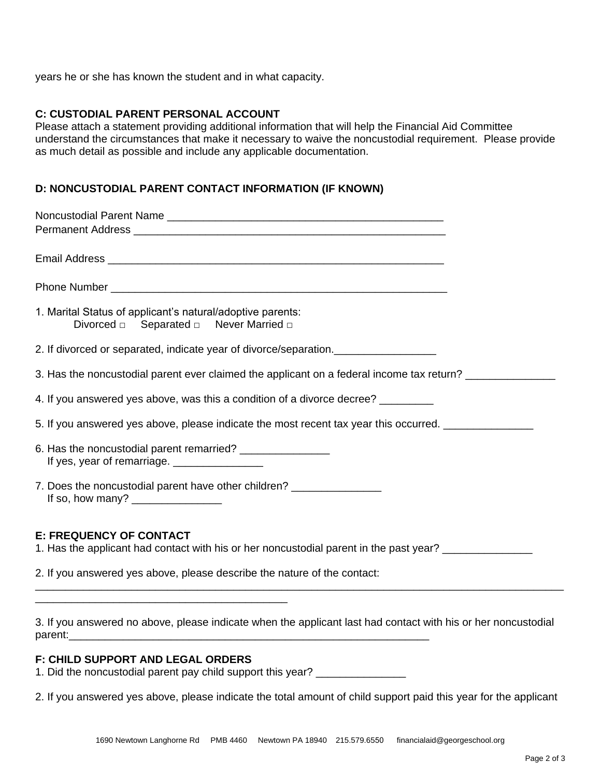years he or she has known the student and in what capacity.

#### **C: CUSTODIAL PARENT PERSONAL ACCOUNT**

Please attach a statement providing additional information that will help the Financial Aid Committee understand the circumstances that make it necessary to waive the noncustodial requirement. Please provide as much detail as possible and include any applicable documentation.

### **D: NONCUSTODIAL PARENT CONTACT INFORMATION (IF KNOWN)**

| 1. Marital Status of applicant's natural/adoptive parents:                                                               |
|--------------------------------------------------------------------------------------------------------------------------|
| 2. If divorced or separated, indicate year of divorce/separation.                                                        |
| 3. Has the noncustodial parent ever claimed the applicant on a federal income tax return? ________________               |
| 4. If you answered yes above, was this a condition of a divorce decree? ________                                         |
| 5. If you answered yes above, please indicate the most recent tax year this occurred. ______________                     |
| 6. Has the noncustodial parent remarried? _________________<br>If yes, year of remarriage. ___________________           |
| 7. Does the noncustodial parent have other children? ________________                                                    |
| <b>E: FREQUENCY OF CONTACT</b><br>1. Has the applicant had contact with his or her noncustodial parent in the past year? |
| 2. If you answered yes above, please describe the nature of the contact:                                                 |
| 3. If you answered no above, please indicate when the applicant last had contact with his or her noncustodial            |
| parent:                                                                                                                  |

#### **F: CHILD SUPPORT AND LEGAL ORDERS**

1. Did the noncustodial parent pay child support this year?

2. If you answered yes above, please indicate the total amount of child support paid this year for the applicant